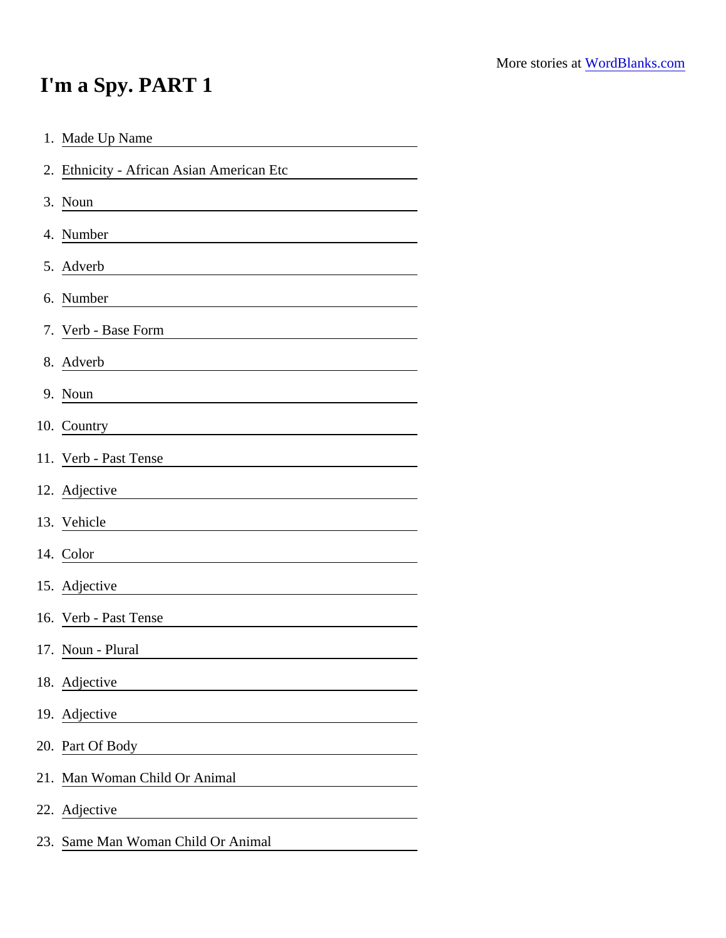## I'm a Spy. PART 1

| 1. Made Up Name                                                                                                                    |
|------------------------------------------------------------------------------------------------------------------------------------|
| 2. Ethnicity - African Asian American Etc                                                                                          |
| 3. Noun<br><u> 1989 - Andrea Station Barbara, politik eta provincia eta provincia eta provincia eta provincia eta provincia</u>    |
| 4. Number                                                                                                                          |
| 5. Adverb                                                                                                                          |
| 6. Number                                                                                                                          |
| 7. Verb - Base Form                                                                                                                |
| 8. Adverb                                                                                                                          |
| 9. Noun                                                                                                                            |
|                                                                                                                                    |
| 11. Verb - Past Tense                                                                                                              |
| 12. Adjective                                                                                                                      |
| 13. Vehicle                                                                                                                        |
| 14. Color<br><u> 1989 - Johann Barn, mars ann an t-Amhain Aonaich an t-Aonaich an t-Aonaich an t-Aonaich an t-Aonaich an t-Aon</u> |
| 15. Adjective<br><u> 1980 - Johann Barbara, martxa alemaniar a</u>                                                                 |
| 16. Verb - Past Tense                                                                                                              |
| 17. Noun - Plural                                                                                                                  |
| 18. Adjective                                                                                                                      |
| 19. Adjective                                                                                                                      |
| 20. Part Of Body<br><u> 1989 - Johann Barnett, fransk politiker (</u>                                                              |
| 21. Man Woman Child Or Animal                                                                                                      |
| 22. Adjective                                                                                                                      |
| 23. Same Man Woman Child Or Animal                                                                                                 |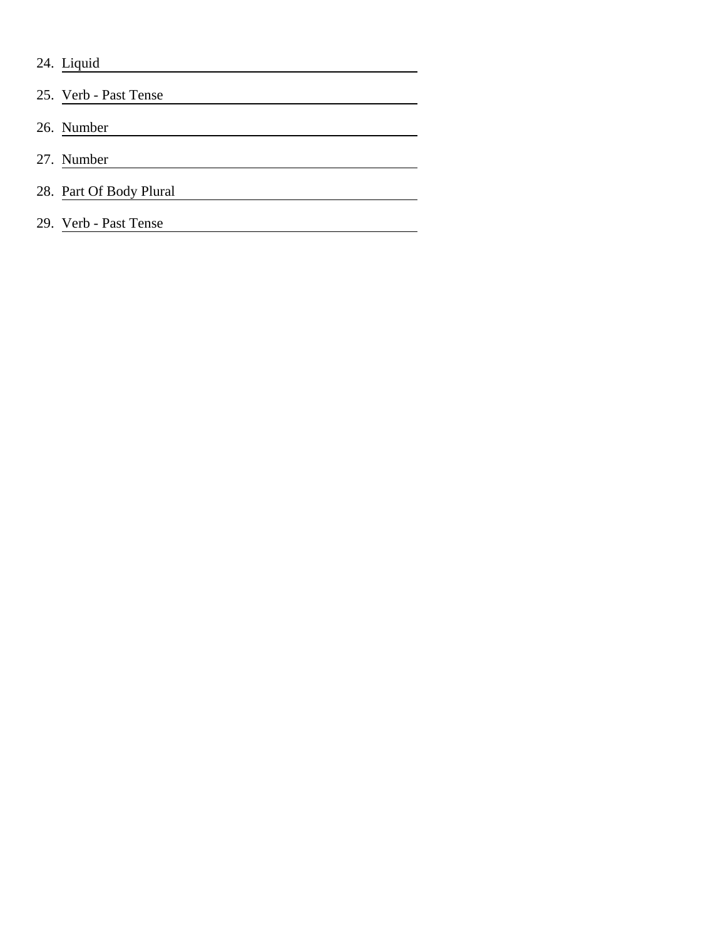- 24. Liquid
- 25. Verb Past Tense 26. Number
- 27. Number
- 28. Part Of Body Plural
- 29. Verb Past Tense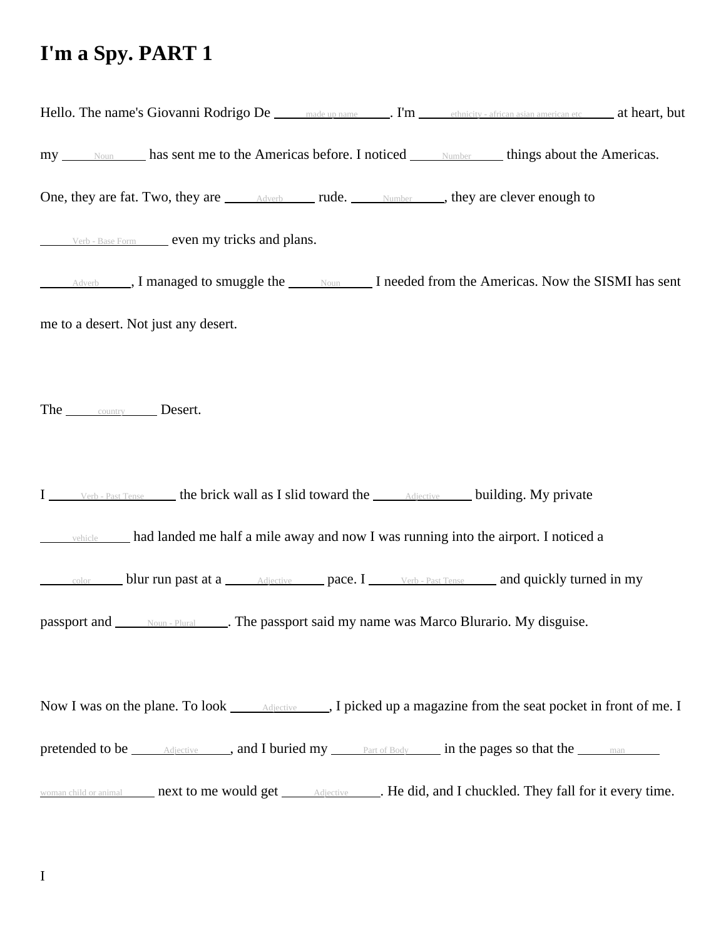## **I'm a Spy. PART 1**

|                                      | my <u>Noum</u> has sent me to the Americas before. I noticed <u>Number</u> hings about the Americas.        |  |  |  |
|--------------------------------------|-------------------------------------------------------------------------------------------------------------|--|--|--|
|                                      |                                                                                                             |  |  |  |
|                                      | Verb - Base Form even my tricks and plans.                                                                  |  |  |  |
|                                      | Adverb ___, I managed to smuggle the ______ Noun _______ I needed from the Americas. Now the SISMI has sent |  |  |  |
| me to a desert. Not just any desert. |                                                                                                             |  |  |  |
| The country Desert.                  |                                                                                                             |  |  |  |
|                                      | I Verb - Past Tense the brick wall as I slid toward the Adjective building. My private                      |  |  |  |
|                                      | vehicle had landed me half a mile away and now I was running into the airport. I noticed a                  |  |  |  |
|                                      | color blur run past at a <i>Adjective</i> pace. I verb-Past Tense and quickly turned in my                  |  |  |  |
|                                      | passport and <u>some Plural</u> . The passport said my name was Marco Blurario. My disguise.                |  |  |  |
|                                      |                                                                                                             |  |  |  |
|                                      | pretended to be Adjective , and I buried my Part of Body in the pages so that the man                       |  |  |  |
|                                      |                                                                                                             |  |  |  |